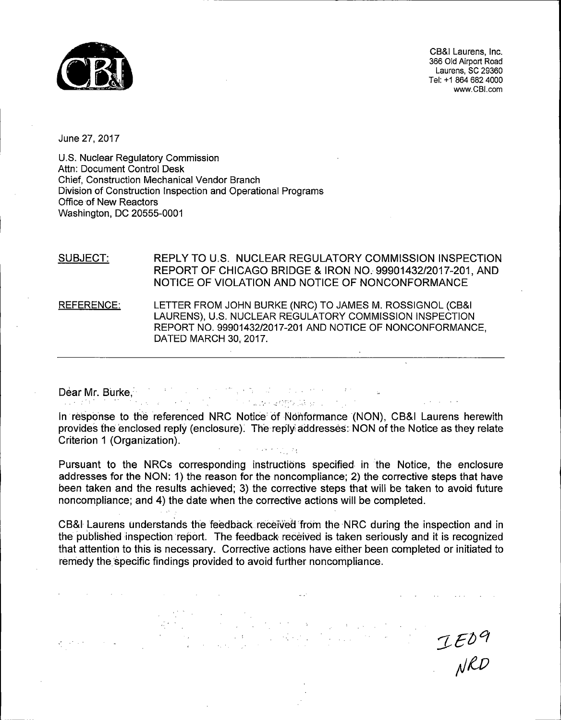

CB&I Laurens, Inc. 366 Old Airport Road Laurens, SC 29360 Tel: +1 864 682 4000 www.CBl.com

June 27, 2017

U.S. Nuclear Regulatory Commission Attn: Document Control Desk Chief, Construction Mechanical Vendor Branch Division of Construction Inspection and Operational Programs Office of New Reactors Washington, DC 20555-0001

DATED MARCH 30, 2017.

 $\omega$  -to-  $\omega$  -  $\omega$  -to-

SUBJECT: REFERENCE: REPLY TO U.S. NUCLEAR REGULATORY COMMISSION INSPECTION REPORT OF CHICAGO BRIDGE & IRON NO. 99901432/2017-201, AND NOTICE OF VIOLATION AND NOTICE OF NONCONFORMANCE LETTER FROM JOHN BURKE (NRC) TO JAMES M. ROSSIGNOL (CB&I LAURENS), U.S. NUCLEAR REGULATORY COMMISSION INSPECTION REPORT NO. 99901432/2017-201 AND NOTICE OF NONCONFORMANCE,

Dear Mr. Burke,

In response to the referenced NRC Notice of Nonformance (NON), CB&I Laurens herewith provides the enclosed reply (enclosure). The reply addresses: NON of the Notice as they relate Criterion 1 (Organization).  $\mathcal{F}$  and  $\mathcal{F}$  is  $\mathcal{F}$  , and  $\mathcal{F}$ 

アープト かんかん そのひとみ シール

Pursuant to the NRCs corresponding instructions specified in the Notice, the enclosure addresses for the NON: 1) the reason for the noncompliance; 2) the corrective steps that have been taken and the results achieved; 3) the corrective steps that will be taken to avoid future noncompliance; and 4) the date when the corrective actions will be completed.

CB&I Laurens understands the feedback received from the NRC during the inspection and in the published inspection report. The feedback received is taken seriously and it is recognized that attention to this is necessary. Corrective actions have either been completed or initiated to remedy the specific findings provided to avoid further noncompliance.

 $IED9$ <br>NRD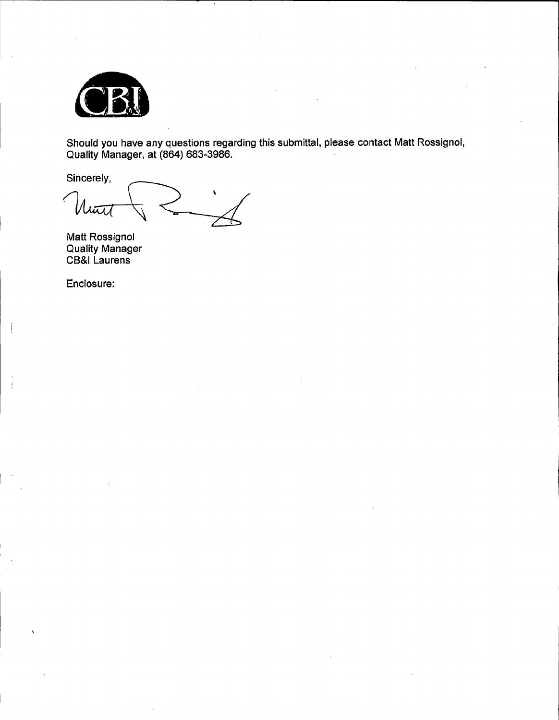

Should you have any questions regarding this submittal, please contact Matt Rossignol, Quality Manager, at (864) 683-3986.

Sincerely,

hūt

Matt Rossignol Quality Manager CB&I Laurens

Enclosure:

 $\frac{1}{4}$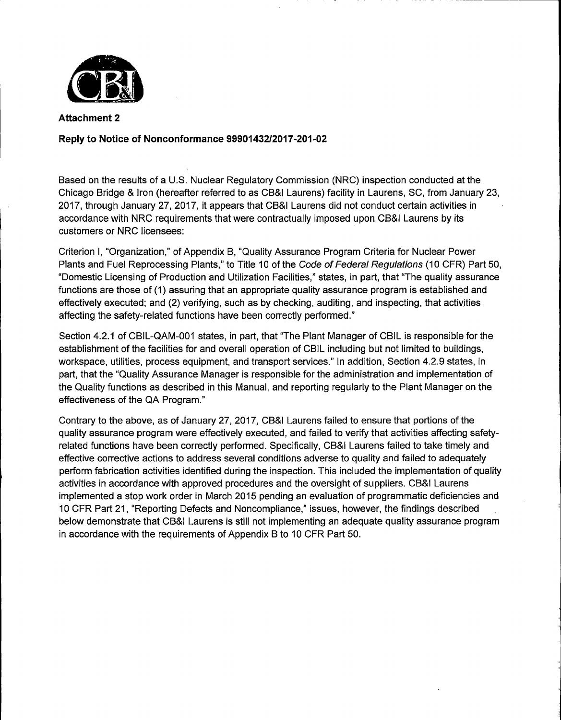

**Attachment 2** 

## **Reply to Notice of Nonconformance 99901432/2017-201-02**

Based on the results of a U.S. Nuclear Regulatory Commission (NRC) inspection conducted at the Chicago Bridge & Iron (hereafter referred to as CB&I Laurens) facility in Laurens, SC, from January 23, 2017, through January 27, 2017, it appears that CB&I Laurens did not conduct certain activities in accordance with NRC requirements that were contractually imposed upon CB&I Laurens by its customers or NRC licensees:

Criterion I, "Organization," of Appendix B, "Quality Assurance Program Criteria for Nuclear Power Plants and Fuel Reprocessing Plants," to Title 10 of the Code of Federal Regulations (10 CFR) Part 50, "Domestic Licensing of Production and Utilization Facilities," states, in part, that "The quality assurance functions are those of (1) assuring that an appropriate quality assurance program is established and effectively executed; and (2) verifying, such as by checking, auditing, and inspecting, that activities affecting the safety-related functions have been correctly performed."

Section 4.2.1 of CBIL-QAM-001 states, in part, that "The Plant Manager of CBIL is responsible for the establishment of the facilities for and overall operation of CBIL including but not limited to buildings, workspace, utilities, process equipment, and transport services." In addition, Section 4.2.9 states, in part, that the "Quality Assurance Manager is responsible for the administration and implementation of the Quality functions as described in this Manual, and reporting regularly to the Plant Manager on the effectiveness of the QA Program."

Contrary to the above, as of January 27, 2017, CB&I Laurens failed to ensure that portions of the quality assurance program were effectively executed, and failed to verify that activities affecting safetyrelated functions have been correctly performed. Specifically, CB&I Laurens failed to take timely and effective corrective actions to address several conditions adverse to quality and failed to adequately perform fabrication activities identified during the inspection. This included the implementation of quality activities in accordance with approved procedures and the oversight of suppliers. CB&I Laurens implemented a stop work order in March 2015 pending an evaluation of programmatic deficiencies and 1 O CFR Part 21, "Reporting Defects and Noncompliance," issues, however, the findings described below demonstrate that CB&I Laurens is still not implementing an adequate quality assurance program in accordance with the requirements of Appendix B to 10 CFR Part 50.